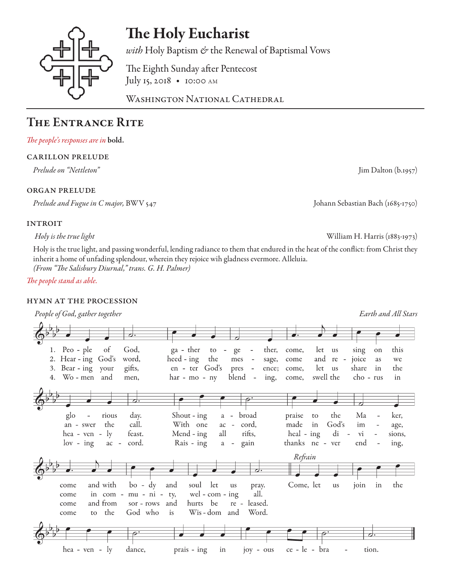

# The Holy Eucharist

*with* Holy Baptism *&* the Renewal of Baptismal Vows

The Eighth Sunday after Pentecost July 15, 2018 • 10:00 AM

WASHINGTON NATIONAL CATHEDRAL

## The Entrance Rite

### *The people's responses are in* bold.

#### carillon prelude

*Prelude on "Nettleton"* Jim Dalton (b.1957)

#### organ prelude

*Prelude and Fugue in C major,* BWV 547 Johann Sebastian Bach (1685-1750)

### **INTROIT**

 *Holy is the true light* William H. Harris (1883-1973)

Holy is the true light, and passing wonderful, lending radiance to them that endured in the heat of the conflict: from Christ they inherit a home of unfading splendour, wherein they rejoice wih gladness evermore. Alleluia. *(From "The Salisbury Diurnal," trans. G. H. Palmer)*

*The people stand as able.* 

#### hymn at the procession

 *People of God, gather together Earth and All Stars* d. of God, 1. Peo - ple ga - ther to  $\overline{a}$ ge ther, come, let us sing on this 2. Hear - ing God's word,  $\text{heed}$  -  $\text{ing}$ the mes  $\Box$ sage, come and  $re$ joice as we 3. Bear - ing your gifts, en - ter God's pres  $\overline{\phantom{a}}$ ence; come, let us share in the 4. Wo-men and  $\sim$ men, har - mo - ny blend ing, come, swell the cho - rus in  $\overline{a}$ . day. Shout - ing the rious broad praise Ma ker, glo  $\overline{a}$ a.  $\overline{a}$ to an - swer the call. With one <sub>ac</sub>  $\overline{a}$ cord, made in God's im age, hea - ven - ly feast. heal - ing di Mend - ing all rifts, vi sions,  $lov - ing$ cord. Rais - ing thanks ne gain ver end ing, ac  $\sim$  $\mathfrak{a}$  $\overline{\phantom{a}}$ Refrain and with  $bo - dy$ and soul let Come, let the come us pray. us join in come in com mu - ni ty, wel -  $com - ing$ all.  $\overline{a}$ hurts be and from sor - rows and re - leased. come God who Wis-dom and Word. come the is to hea - ven -  $ly$ dance, ce - le - bra prais - ing in joy - ous tion.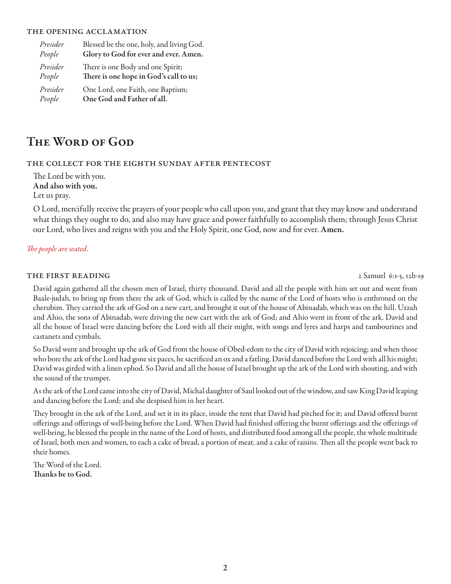#### the opening acclamation

| Presider | Blessed be the one, holy, and living God. |
|----------|-------------------------------------------|
| People   | Glory to God for ever and ever. Amen.     |
| Presider | There is one Body and one Spirit;         |
| People   | There is one hope in God's call to us;    |
| Presider | One Lord, one Faith, one Baptism;         |
| People   | One God and Father of all.                |

## The Word of God

#### the collect for the eighth sunday after pentecost

The Lord be with you. And also with you. Let us pray.

O Lord, mercifully receive the prayers of your people who call upon you, and grant that they may know and understand what things they ought to do, and also may have grace and power faithfully to accomplish them; through Jesus Christ our Lord, who lives and reigns with you and the Holy Spirit, one God, now and for ever. Amen.

#### *The people are seated.*

#### THE FIRST READING 2 Samuel 6:1-5, 12b-19

David again gathered all the chosen men of Israel, thirty thousand. David and all the people with him set out and went from Baale-judah, to bring up from there the ark of God, which is called by the name of the Lord of hosts who is enthroned on the cherubim. They carried the ark of God on a new cart, and brought it out of the house of Abinadab, which was on the hill. Uzzah and Ahio, the sons of Abinadab, were driving the new cart with the ark of God; and Ahio went in front of the ark. David and all the house of Israel were dancing before the Lord with all their might, with songs and lyres and harps and tambourines and castanets and cymbals.

So David went and brought up the ark of God from the house of Obed-edom to the city of David with rejoicing; and when those who bore the ark of the Lord had gone six paces, he sacrificed an ox and a fatling. David danced before the Lord with all his might; David was girded with a linen ephod. So David and all the house of Israel brought up the ark of the Lord with shouting, and with the sound of the trumpet.

As the ark of the Lord came into the city of David, Michal daughter of Saul looked out of the window, and saw King David leaping and dancing before the Lord; and she despised him in her heart.

They brought in the ark of the Lord, and set it in its place, inside the tent that David had pitched for it; and David offered burnt offerings and offerings of well-being before the Lord. When David had finished offering the burnt offerings and the offerings of well-being, he blessed the people in the name of the Lord of hosts, and distributed food among all the people, the whole multitude of Israel, both men and women, to each a cake of bread, a portion of meat, and a cake of raisins. Then all the people went back to their homes.

The Word of the Lord. Thanks be to God.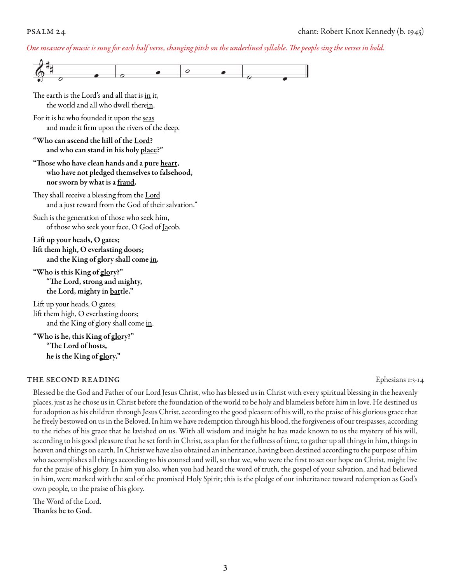#### *One measure of music is sung for each half verse, changing pitch on the underlined syllable. The people sing the verses in bold.*



#### THE SECOND READING Equation of the second reading the second results of the second results of the second results of the second results of the second results of the second results of the second results of the second results

Blessed be the God and Father of our Lord Jesus Christ, who has blessed us in Christ with every spiritual blessing in the heavenly places, just as he chose us in Christ before the foundation of the world to be holy and blameless before him in love. He destined us for adoption as his children through Jesus Christ, according to the good pleasure of his will, to the praise of his glorious grace that he freely bestowed on us in the Beloved. In him we have redemption through his blood, the forgiveness of our trespasses, according to the riches of his grace that he lavished on us. With all wisdom and insight he has made known to us the mystery of his will, according to his good pleasure that he set forth in Christ, as a plan for the fullness of time, to gather up all things in him, things in heaven and things on earth. In Christ we have also obtained an inheritance, having been destined according to the purpose of him who accomplishes all things according to his counsel and will, so that we, who were the first to set our hope on Christ, might live for the praise of his glory. In him you also, when you had heard the word of truth, the gospel of your salvation, and had believed in him, were marked with the seal of the promised Holy Spirit; this is the pledge of our inheritance toward redemption as God's own people, to the praise of his glory.

The Word of the Lord. Thanks be to God.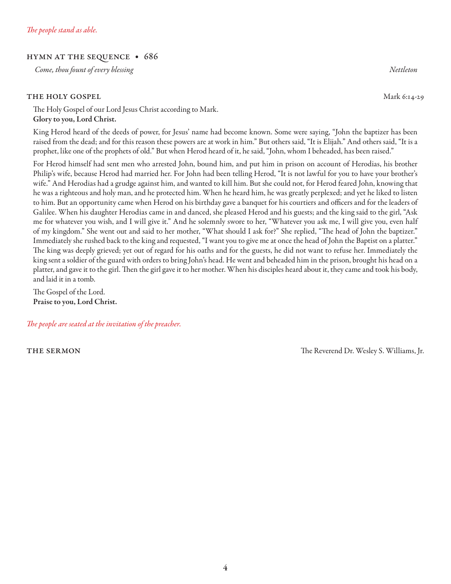#### hymn at the sequence • 686

 *Come, thou fount of every blessing Nettleton* 

#### THE HOLY GOSPEL Mark 6:14-29

The Holy Gospel of our Lord Jesus Christ according to Mark. Glory to you, Lord Christ.

King Herod heard of the deeds of power, for Jesus' name had become known. Some were saying, "John the baptizer has been raised from the dead; and for this reason these powers are at work in him." But others said, "It is Elijah." And others said, "It is a prophet, like one of the prophets of old." But when Herod heard of it, he said, "John, whom I beheaded, has been raised."

For Herod himself had sent men who arrested John, bound him, and put him in prison on account of Herodias, his brother Philip's wife, because Herod had married her. For John had been telling Herod, "It is not lawful for you to have your brother's wife." And Herodias had a grudge against him, and wanted to kill him. But she could not, for Herod feared John, knowing that he was a righteous and holy man, and he protected him. When he heard him, he was greatly perplexed; and yet he liked to listen to him. But an opportunity came when Herod on his birthday gave a banquet for his courtiers and officers and for the leaders of Galilee. When his daughter Herodias came in and danced, she pleased Herod and his guests; and the king said to the girl, "Ask me for whatever you wish, and I will give it." And he solemnly swore to her, "Whatever you ask me, I will give you, even half of my kingdom." She went out and said to her mother, "What should I ask for?" She replied, "The head of John the baptizer." Immediately she rushed back to the king and requested, "I want you to give me at once the head of John the Baptist on a platter." The king was deeply grieved; yet out of regard for his oaths and for the guests, he did not want to refuse her. Immediately the king sent a soldier of the guard with orders to bring John's head. He went and beheaded him in the prison, brought his head on a platter, and gave it to the girl. Then the girl gave it to her mother. When his disciples heard about it, they came and took his body, and laid it in a tomb.

The Gospel of the Lord. Praise to you, Lord Christ.

*The people are seated at the invitation of the preacher.*

**THE SERMON SERMON SERMON SERMON SERMON SERMON SERMON SERMON SERVER SERMON SERVER SERMON SERVER SERVER SERVER SERVER SERVER SERVER SERVER SERVER SERVER SERVER SERVER SERVER SERVER SERVER SERVER SERVER SERVER SERVER SERVER** 

4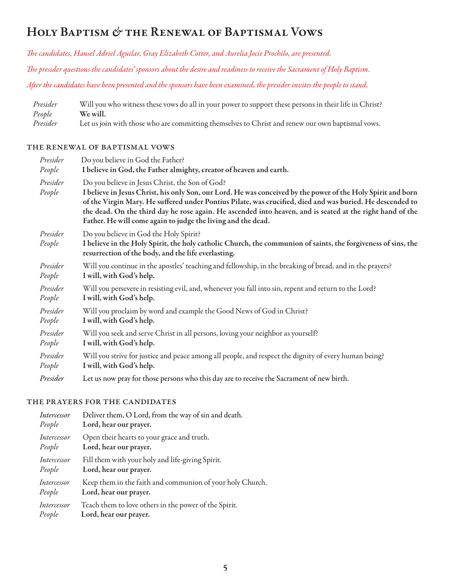## Holy Baptism *&* the Renewal of Baptismal Vows

*The candidates, Hansel Adriel Aguilar, Gray Elizabeth Cotter, and Aurelia Jocie Prochilo, are presented.* 

*The presider questions the candidates' sponsors about the desire and readiness to receive the Sacrament of Holy Baptism.*

*After the candidates have been presented and the sponsors have been examined, the presider invites the people to stand.*

*Presider* Will you who witness these vows do all in your power to support these persons in their life in Christ? *People* **We will.**<br>*Presider* Let us joi Let us join with those who are committing themselves to Christ and renew our own baptismal vows.

#### the renewal of baptismal vows

| Presider           | Do you believe in God the Father?                                                                                                                                                                                                                                                                                                                                                                                                                         |  |
|--------------------|-----------------------------------------------------------------------------------------------------------------------------------------------------------------------------------------------------------------------------------------------------------------------------------------------------------------------------------------------------------------------------------------------------------------------------------------------------------|--|
| People             | I believe in God, the Father almighty, creator of heaven and earth.                                                                                                                                                                                                                                                                                                                                                                                       |  |
| Presider<br>People | Do you believe in Jesus Christ, the Son of God?<br>I believe in Jesus Christ, his only Son, our Lord. He was conceived by the power of the Holy Spirit and born<br>of the Virgin Mary. He suffered under Pontius Pilate, was crucified, died and was buried. He descended to<br>the dead. On the third day he rose again. He ascended into heaven, and is seated at the right hand of the<br>Father. He will come again to judge the living and the dead. |  |
| Presider<br>People | Do you believe in God the Holy Spirit?<br>I believe in the Holy Spirit, the holy catholic Church, the communion of saints, the forgiveness of sins, the<br>resurrection of the body, and the life everlasting.                                                                                                                                                                                                                                            |  |
| Presider           | Will you continue in the apostles' teaching and fellowship, in the breaking of bread, and in the prayers?                                                                                                                                                                                                                                                                                                                                                 |  |
| People             | I will, with God's help.                                                                                                                                                                                                                                                                                                                                                                                                                                  |  |
| Presider           | Will you persevere in resisting evil, and, whenever you fall into sin, repent and return to the Lord?                                                                                                                                                                                                                                                                                                                                                     |  |
| People             | I will, with God's help.                                                                                                                                                                                                                                                                                                                                                                                                                                  |  |
| Presider           | Will you proclaim by word and example the Good News of God in Christ?                                                                                                                                                                                                                                                                                                                                                                                     |  |
| People             | I will, with God's help.                                                                                                                                                                                                                                                                                                                                                                                                                                  |  |
| Presider           | Will you seek and serve Christ in all persons, loving your neighbor as yourself?                                                                                                                                                                                                                                                                                                                                                                          |  |
| People             | I will, with God's help.                                                                                                                                                                                                                                                                                                                                                                                                                                  |  |
| Presider           | Will you strive for justice and peace among all people, and respect the dignity of every human being?                                                                                                                                                                                                                                                                                                                                                     |  |
| People             | I will, with God's help.                                                                                                                                                                                                                                                                                                                                                                                                                                  |  |
| Presider           | Let us now pray for those persons who this day are to receive the Sacrament of new birth.                                                                                                                                                                                                                                                                                                                                                                 |  |

#### the prayers for the candidates

| Intercessor | Deliver them, O Lord, from the way of sin and death.      |
|-------------|-----------------------------------------------------------|
| People      | Lord, hear our prayer.                                    |
| Intercessor | Open their hearts to your grace and truth.                |
| People      | Lord, hear our prayer.                                    |
| Intercessor | Fill them with your holy and life-giving Spirit.          |
| People      | Lord, hear our prayer.                                    |
| Intercessor | Keep them in the faith and communion of your holy Church. |
| People      | Lord, hear our prayer.                                    |
| Intercessor | Teach them to love others in the power of the Spirit.     |
| People      | Lord, hear our prayer.                                    |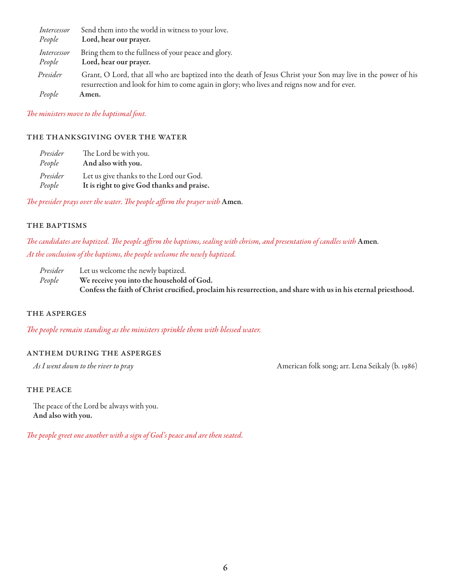| Intercessor           | Send them into the world in witness to your love.                                                                                                                                                             |
|-----------------------|---------------------------------------------------------------------------------------------------------------------------------------------------------------------------------------------------------------|
| People                | Lord, hear our prayer.                                                                                                                                                                                        |
| Intercessor<br>People | Bring them to the fullness of your peace and glory.<br>Lord, hear our prayer.                                                                                                                                 |
| Presider              | Grant, O Lord, that all who are baptized into the death of Jesus Christ your Son may live in the power of his<br>resurrection and look for him to come again in glory; who lives and reigns now and for ever. |
| People                | Amen.                                                                                                                                                                                                         |

*The ministers move to the baptismal font.* 

#### the thanksgiving over the water

| Presider | The Lord be with you.                      |
|----------|--------------------------------------------|
| People   | And also with you.                         |
| Presider | Let us give thanks to the Lord our God.    |
| People   | It is right to give God thanks and praise. |

*The presider prays over the water. The people affirm the prayer with* Amen*.*

#### THE BAPTISMS

*The candidates are baptized. The people affirm the baptisms, sealing with chrism, and presentation of candles with* Amen*. At the conclusion of the baptisms, the people welcome the newly baptized.* 

*Presider* Let us welcome the newly baptized. *People* We receive you into the household of God. Confess the faith of Christ crucified, proclaim his resurrection, and share with us in his eternal priesthood.

#### the asperges

*The people remain standing as the ministers sprinkle them with blessed water.*

#### anthem during the asperges

As I went down to the river to pray and the state of the state of the state of the state of the state of the state of the state of the state of the state of the state of the state of the state of the state of the state of

#### THE PEACE

The peace of the Lord be always with you. And also with you.

*The people greet one another with a sign of God's peace and are then seated.*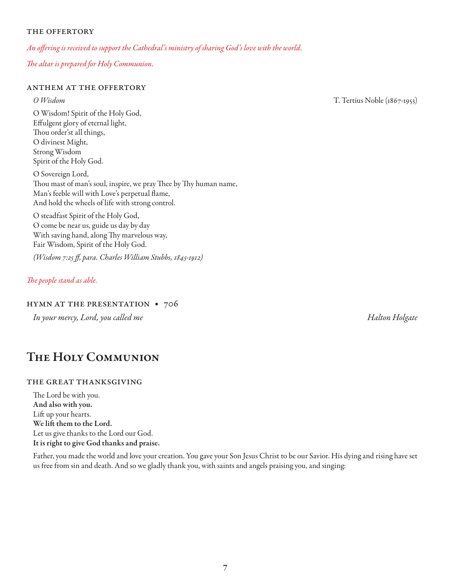#### the offertory

*An offering is received to support the Cathedral's ministry of sharing God's love with the world.*

*The altar is prepared for Holy Communion.*

#### anthem at the offertory

O Wisdom! Spirit of the Holy God, Effulgent glory of eternal light, Thou order'st all things, O divinest Might, Strong Wisdom Spirit of the Holy God.

O Sovereign Lord, Thou mast of man's soul, inspire, we pray Thee by Thy human name, Man's feeble will with Love's perpetual flame, And hold the wheels of life with strong control.

O steadfast Spirit of the Holy God, O come be near us, guide us day by day With saving hand, along Thy marvelous way, Fair Wisdom, Spirit of the Holy God.

*(Wisdom 7:25 ff, para. Charles William Stubbs, 1845-1912)*

#### *The people stand as able.*

#### hymn at the presentation • 706

*In your mercy, Lord, you called me Halton Holgate*

## The Holy Communion

#### the great thanksgiving

The Lord be with you. And also with you. Lift up your hearts. We lift them to the Lord. Let us give thanks to the Lord our God. It is right to give God thanks and praise.

Father, you made the world and love your creation. You gave your Son Jesus Christ to be our Savior. His dying and rising have set us free from sin and death. And so we gladly thank you, with saints and angels praising you, and singing:

*O Wisdom* T. Tertius Noble (1867-1953)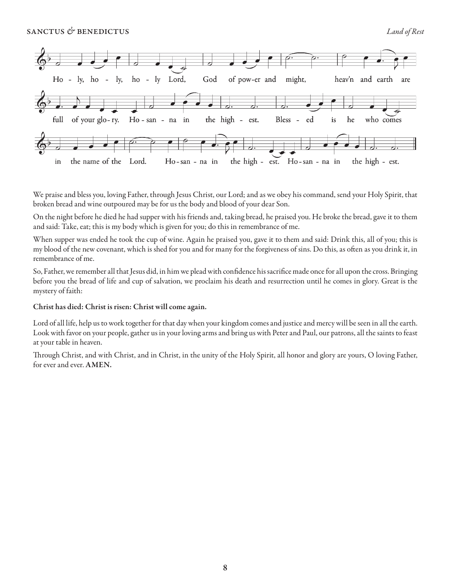

We praise and bless you, loving Father, through Jesus Christ, our Lord; and as we obey his command, send your Holy Spirit, that broken bread and wine outpoured may be for us the body and blood of your dear Son.

On the night before he died he had supper with his friends and, taking bread, he praised you. He broke the bread, gave it to them and said: Take, eat; this is my body which is given for you; do this in remembrance of me.

When supper was ended he took the cup of wine. Again he praised you, gave it to them and said: Drink this, all of you; this is my blood of the new covenant, which is shed for you and for many for the forgiveness of sins. Do this, as often as you drink it, in remembrance of me.

So, Father, we remember all that Jesus did, in him we plead with confidence his sacrifice made once for all upon the cross. Bringing before you the bread of life and cup of salvation, we proclaim his death and resurrection until he comes in glory. Great is the mystery of faith:

#### Christ has died: Christ is risen: Christ will come again.

Lord of all life, help us to work together for that day when your kingdom comes and justice and mercy will be seen in all the earth. Look with favor on your people, gather us in your loving arms and bring us with Peter and Paul, our patrons, all the saints to feast at your table in heaven.

Through Christ, and with Christ, and in Christ, in the unity of the Holy Spirit, all honor and glory are yours, O loving Father, for ever and ever. AMEN.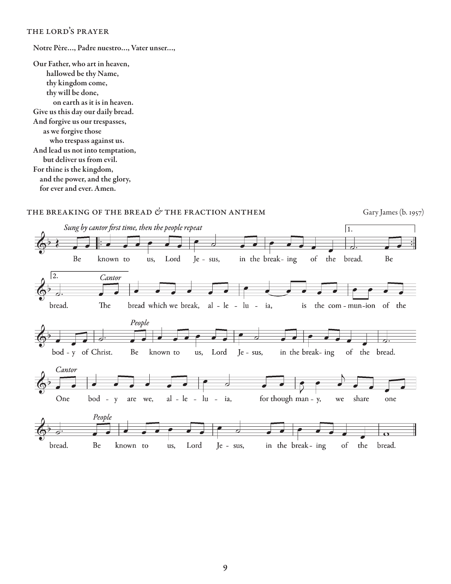#### the lord's prayer

Notre Père…, Padre nuestro…, Vater unser…,

Our Father, who art in heaven, hallowed be thy Name, thy kingdom come, thy will be done, on earth as it is in heaven. Give us this day our daily bread. And forgive us our trespasses, as we forgive those who trespass against us. And lead us not into temptation, but deliver us from evil. For thine is the kingdom, and the power, and the glory, for ever and ever. Amen.



#### 9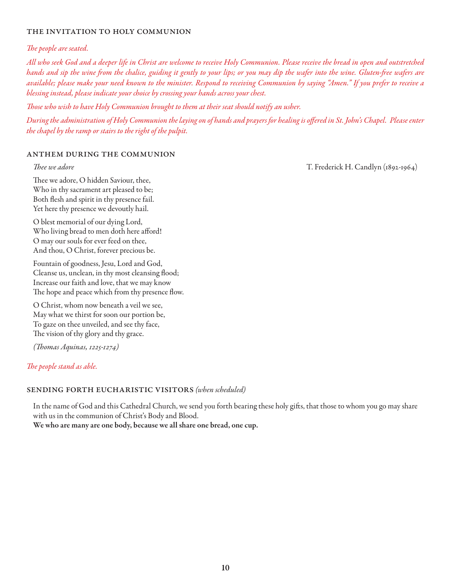#### the invitation to holy communion

#### *The people are seated.*

*All who seek God and a deeper life in Christ are welcome to receive Holy Communion. Please receive the bread in open and outstretched hands and sip the wine from the chalice, guiding it gently to your lips; or you may dip the wafer into the wine. Gluten-free wafers are available; please make your need known to the minister. Respond to receiving Communion by saying "Amen." If you prefer to receive a blessing instead, please indicate your choice by crossing your hands across your chest.* 

*Those who wish to have Holy Communion brought to them at their seat should notify an usher.*

*During the administration of Holy Communion the laying on of hands and prayers for healing is offered in St. John's Chapel. Please enter the chapel by the ramp or stairs to the right of the pulpit.*

#### anthem during the communion

*Thee we adore* T. Frederick H. Candlyn (1892-1964)

Thee we adore, O hidden Saviour, thee, Who in thy sacrament art pleased to be; Both flesh and spirit in thy presence fail. Yet here thy presence we devoutly hail.

O blest memorial of our dying Lord, Who living bread to men doth here afford! O may our souls for ever feed on thee, And thou, O Christ, forever precious be.

Fountain of goodness, Jesu, Lord and God, Cleanse us, unclean, in thy most cleansing flood; Increase our faith and love, that we may know The hope and peace which from thy presence flow.

O Christ, whom now beneath a veil we see, May what we thirst for soon our portion be, To gaze on thee unveiled, and see thy face, The vision of thy glory and thy grace.

*(Thomas Aquinas, 1225-1274)*

#### *The people stand as able.*

#### sending forth eucharistic visitors *(when scheduled)*

In the name of God and this Cathedral Church, we send you forth bearing these holy gifts, that those to whom you go may share with us in the communion of Christ's Body and Blood.

We who are many are one body, because we all share one bread, one cup.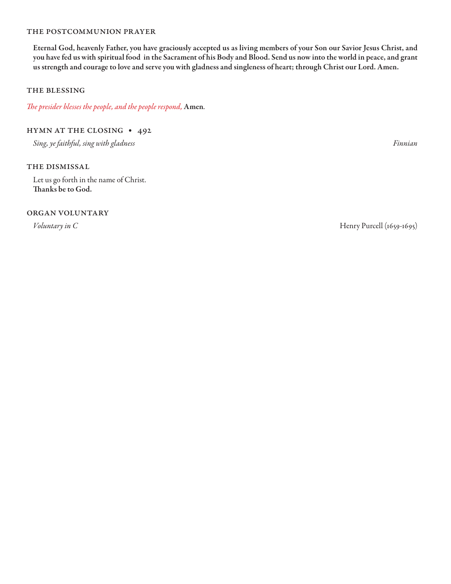#### the postcommunion prayer

Eternal God, heavenly Father, you have graciously accepted us as living members of your Son our Savior Jesus Christ, and you have fed us with spiritual food in the Sacrament of his Body and Blood. Send us now into the world in peace, and grant us strength and courage to love and serve you with gladness and singleness of heart; through Christ our Lord. Amen.

#### the blessing

*The presider blesses the people, and the people respond,* Amen*.*

#### hymn at the closing • 492

*Sing, ye faithful, sing with gladness Finnian*

#### THE DISMISSAL

Let us go forth in the name of Christ. Thanks be to God.

#### organ voluntary

*Voluntary in C* Henry Purcell (1659-1695)